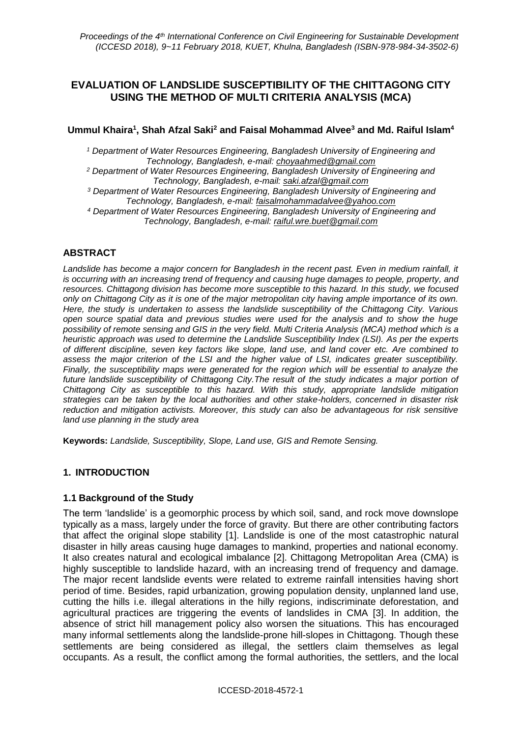# **EVALUATION OF LANDSLIDE SUSCEPTIBILITY OF THE CHITTAGONG CITY USING THE METHOD OF MULTI CRITERIA ANALYSIS (MCA)**

## **Ummul Khaira<sup>1</sup> , Shah Afzal Saki<sup>2</sup> and Faisal Mohammad Alvee<sup>3</sup> and Md. Raiful Islam<sup>4</sup>**

*<sup>1</sup> Department of Water Resources Engineering, Bangladesh University of Engineering and Technology, Bangladesh, e-mail: choyaahmed@gmail.com*

*<sup>2</sup> Department of Water Resources Engineering, Bangladesh University of Engineering and Technology, Bangladesh, e-mail: [saki.afzal@gmail.com](mailto:saki.afzal@gmail.com)*

*<sup>3</sup> Department of Water Resources Engineering, Bangladesh University of Engineering and Technology, Bangladesh, e-mail: [faisalmohammadalvee@yahoo.com](mailto:faisalmohammadalvee@yahoo.com)*

*<sup>4</sup> Department of Water Resources Engineering, Bangladesh University of Engineering and Technology, Bangladesh, e-mail: raiful.wre.buet@gmail.com*

## **ABSTRACT**

*Landslide has become a major concern for Bangladesh in the recent past. Even in medium rainfall, it is occurring with an increasing trend of frequency and causing huge damages to people, property, and resources. Chittagong division has become more susceptible to this hazard. In this study, we focused only on Chittagong City as it is one of the major metropolitan city having ample importance of its own. Here, the study is undertaken to assess the landslide susceptibility of the Chittagong City. Various open source spatial data and previous studies were used for the analysis and to show the huge possibility of remote sensing and GIS in the very field. Multi Criteria Analysis (MCA) method which is a heuristic approach was used to determine the Landslide Susceptibility Index (LSI). As per the experts of different discipline, seven key factors like slope, land use, and land cover etc. Are combined to assess the major criterion of the LSI and the higher value of LSI, indicates greater susceptibility. Finally, the susceptibility maps were generated for the region which will be essential to analyze the*  future landslide susceptibility of Chittagong City. The result of the study indicates a major portion of *Chittagong City as susceptible to this hazard. With this study, appropriate landslide mitigation strategies can be taken by the local authorities and other stake-holders, concerned in disaster risk reduction and mitigation activists. Moreover, this study can also be advantageous for risk sensitive land use planning in the study area*

**Keywords:** *Landslide, Susceptibility, Slope, Land use, GIS and Remote Sensing.*

## **1. INTRODUCTION**

## **1.1 Background of the Study**

The term 'landslide' is a geomorphic process by which soil, sand, and rock move downslope typically as a mass, largely under the force of gravity. But there are other contributing factors that affect the original slope stability [1]. Landslide is one of the most catastrophic natural disaster in hilly areas causing huge damages to mankind, properties and national economy. It also creates natural and ecological imbalance [2]. Chittagong Metropolitan Area (CMA) is highly susceptible to landslide hazard, with an increasing trend of frequency and damage. The major recent landslide events were related to extreme rainfall intensities having short period of time. Besides, rapid urbanization, growing population density, unplanned land use, cutting the hills i.e. illegal alterations in the hilly regions, indiscriminate deforestation, and agricultural practices are triggering the events of landslides in CMA [3]. In addition, the absence of strict hill management policy also worsen the situations. This has encouraged many informal settlements along the landslide-prone hill-slopes in Chittagong. Though these settlements are being considered as illegal, the settlers claim themselves as legal occupants. As a result, the conflict among the formal authorities, the settlers, and the local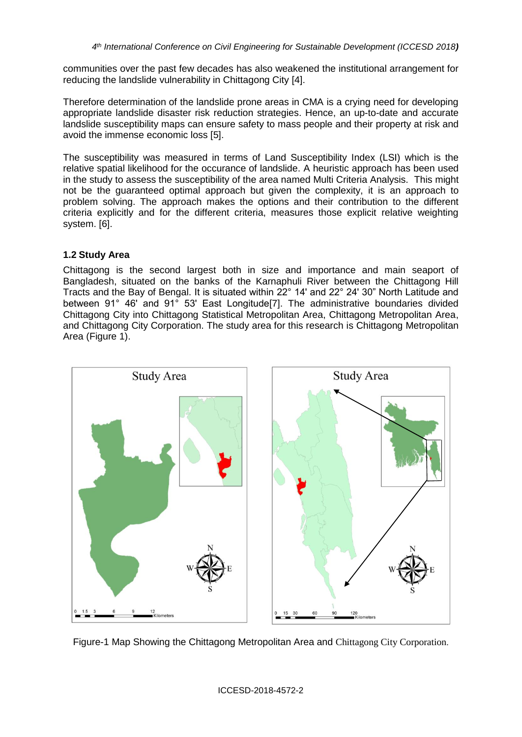communities over the past few decades has also weakened the institutional arrangement for reducing the landslide vulnerability in Chittagong City [4].

Therefore determination of the landslide prone areas in CMA is a crying need for developing appropriate landslide disaster risk reduction strategies. Hence, an up-to-date and accurate landslide susceptibility maps can ensure safety to mass people and their property at risk and avoid the immense economic loss [5].

The susceptibility was measured in terms of Land Susceptibility Index (LSI) which is the relative spatial likelihood for the occurance of landslide. A heuristic approach has been used in the study to assess the susceptibility of the area named Multi Criteria Analysis. This might not be the guaranteed optimal approach but given the complexity, it is an approach to problem solving. The approach makes the options and their contribution to the different criteria explicitly and for the different criteria, measures those explicit relative weighting system. [6].

## **1.2 Study Area**

Chittagong is the second largest both in size and importance and main seaport of Bangladesh, situated on the banks of the Karnaphuli River between the Chittagong Hill Tracts and the Bay of Bengal. It is situated within 22° 14ʹ and 22° 24ʹ 30" North Latitude and between 91° 46ʹ and 91° 53ʹ East Longitude[7]. The administrative boundaries divided Chittagong City into Chittagong Statistical Metropolitan Area, Chittagong Metropolitan Area, and Chittagong City Corporation. The study area for this research is Chittagong Metropolitan Area (Figure 1).



Figure-1 Map Showing the Chittagong Metropolitan Area and Chittagong City Corporation.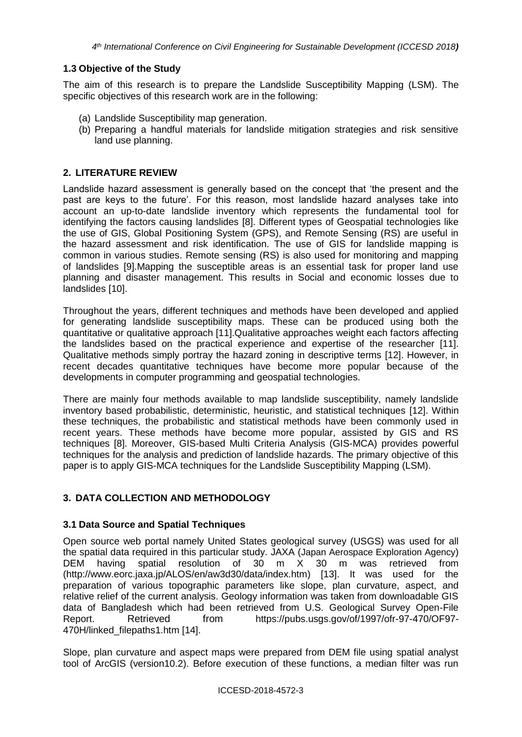# **1.3 Objective of the Study**

The aim of this research is to prepare the Landslide Susceptibility Mapping (LSM). The specific objectives of this research work are in the following:

- (a) Landslide Susceptibility map generation.
- (b) Preparing a handful materials for landslide mitigation strategies and risk sensitive land use planning.

## **2. LITERATURE REVIEW**

Landslide hazard assessment is generally based on the concept that 'the present and the past are keys to the future'. For this reason, most landslide hazard analyses take into account an up-to-date landslide inventory which represents the fundamental tool for identifying the factors causing landslides [8]. Different types of Geospatial technologies like the use of GIS, Global Positioning System (GPS), and Remote Sensing (RS) are useful in the hazard assessment and risk identification. The use of GIS for landslide mapping is common in various studies. Remote sensing (RS) is also used for monitoring and mapping of landslides [9].Mapping the susceptible areas is an essential task for proper land use planning and disaster management. This results in Social and economic losses due to landslides [10].

Throughout the years, different techniques and methods have been developed and applied for generating landslide susceptibility maps. These can be produced using both the quantitative or qualitative approach [11].Qualitative approaches weight each factors affecting the landslides based on the practical experience and expertise of the researcher [11]. Qualitative methods simply portray the hazard zoning in descriptive terms [12]. However, in recent decades quantitative techniques have become more popular because of the developments in computer programming and geospatial technologies.

There are mainly four methods available to map landslide susceptibility, namely landslide inventory based probabilistic, deterministic, heuristic, and statistical techniques [12]. Within these techniques, the probabilistic and statistical methods have been commonly used in recent years. These methods have become more popular, assisted by GIS and RS techniques [8]. Moreover, GIS-based Multi Criteria Analysis (GIS-MCA) provides powerful techniques for the analysis and prediction of landslide hazards. The primary objective of this paper is to apply GIS-MCA techniques for the Landslide Susceptibility Mapping (LSM).

# **3. DATA COLLECTION AND METHODOLOGY**

# **3.1 Data Source and Spatial Techniques**

Open source web portal namely United States geological survey (USGS) was used for all the spatial data required in this particular study. JAXA (Japan Aerospace Exploration Agency) DEM having spatial resolution of 30 m X 30 m was retrieved from [\(http://www.eorc.jaxa.jp/ALOS/en/aw3d30/data/index.htm\)](http://www.eorc.jaxa.jp/ALOS/en/aw3d30/data/index.htm) [13]. It was used for the preparation of various topographic parameters like slope, plan curvature, aspect, and relative relief of the current analysis. Geology information was taken from downloadable GIS data of Bangladesh which had been retrieved from U.S. Geological Survey Open-File Report. Retrieved from [https://pubs.usgs.gov/of/1997/ofr-97-470/OF97-](https://pubs.usgs.gov/of/1997/ofr-97-470/OF97-470H/linked_filepaths1.htm) [470H/linked\\_filepaths1.htm](https://pubs.usgs.gov/of/1997/ofr-97-470/OF97-470H/linked_filepaths1.htm) [14].

Slope, plan curvature and aspect maps were prepared from DEM file using spatial analyst tool of ArcGIS (version10.2). Before execution of these functions, a median filter was run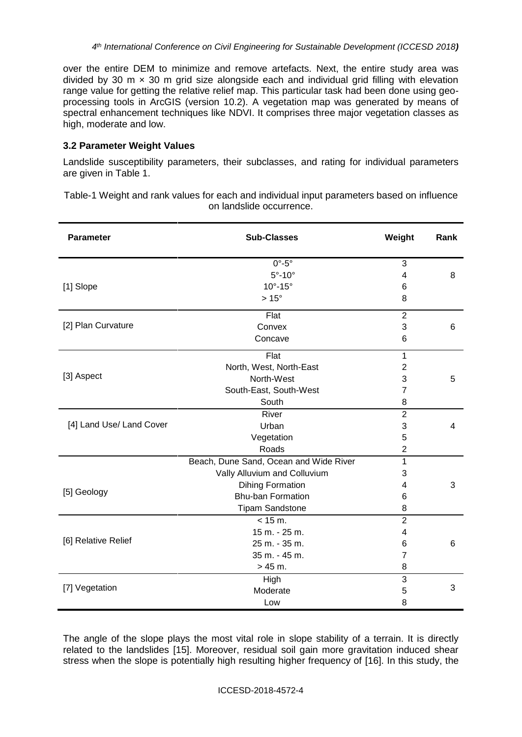over the entire DEM to minimize and remove artefacts. Next, the entire study area was divided by 30 m  $\times$  30 m grid size alongside each and individual grid filling with elevation range value for getting the relative relief map. This particular task had been done using geoprocessing tools in ArcGIS (version 10.2). A vegetation map was generated by means of spectral enhancement techniques like NDVI. It comprises three major vegetation classes as high, moderate and low.

#### **3.2 Parameter Weight Values**

Landslide susceptibility parameters, their subclasses, and rating for individual parameters are given in Table 1.

Table-1 Weight and rank values for each and individual input parameters based on influence on landslide occurrence.

| <b>Parameter</b>         | <b>Sub-Classes</b>                     | Weight         | Rank |
|--------------------------|----------------------------------------|----------------|------|
| [1] Slope                | $0^\circ - 5^\circ$                    | 3              |      |
|                          | $5^{\circ}$ -10 $^{\circ}$             | 4              | 8    |
|                          | $10^{\circ} - 15^{\circ}$              | 6              |      |
|                          | $>15^{\circ}$                          | 8              |      |
| [2] Plan Curvature       | Flat                                   | $\overline{2}$ |      |
|                          | Convex                                 | 3              | 6    |
|                          | Concave                                | 6              |      |
| [3] Aspect               | Flat                                   | 1              |      |
|                          | North, West, North-East                | $\overline{2}$ |      |
|                          | North-West                             | 3              | 5    |
|                          | South-East, South-West                 | 7              |      |
|                          | South                                  | 8              |      |
| [4] Land Use/ Land Cover | River                                  | $\overline{2}$ |      |
|                          | Urban                                  | 3              | 4    |
|                          | Vegetation                             | 5              |      |
|                          | Roads                                  | $\overline{2}$ |      |
| [5] Geology              | Beach, Dune Sand, Ocean and Wide River | 1              |      |
|                          | Vally Alluvium and Colluvium           | 3              |      |
|                          | <b>Dihing Formation</b>                | 4              | 3    |
|                          | <b>Bhu-ban Formation</b>               | 6              |      |
|                          | <b>Tipam Sandstone</b>                 | 8              |      |
| [6] Relative Relief      | < 15 m.                                | $\overline{2}$ |      |
|                          | 15 m. - 25 m.                          | 4              |      |
|                          | 25 m. - 35 m.                          | 6              | 6    |
|                          | 35 m. - 45 m.                          | 7              |      |
|                          | $> 45 m$ .                             | 8              |      |
| [7] Vegetation           | High                                   | $\overline{3}$ |      |
|                          | Moderate                               | 5              | 3    |
|                          | Low                                    | 8              |      |

The angle of the slope plays the most vital role in slope stability of a terrain. It is directly related to the landslides [15]. Moreover, residual soil gain more gravitation induced shear stress when the slope is potentially high resulting higher frequency of [16]. In this study, the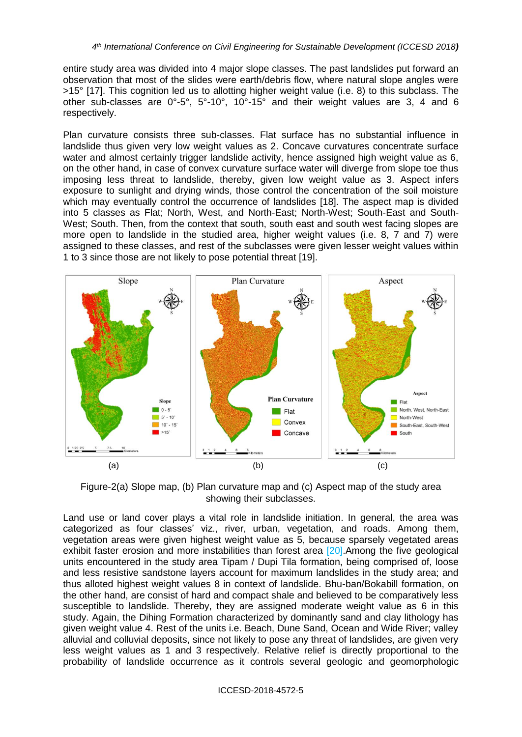entire study area was divided into 4 major slope classes. The past landslides put forward an observation that most of the slides were earth/debris flow, where natural slope angles were >15° [17]. This cognition led us to allotting higher weight value (i.e. 8) to this subclass. The other sub-classes are 0°-5°, 5°-10°, 10°-15° and their weight values are 3, 4 and 6 respectively.

Plan curvature consists three sub-classes. Flat surface has no substantial influence in landslide thus given very low weight values as 2. Concave curvatures concentrate surface water and almost certainly trigger landslide activity, hence assigned high weight value as 6, on the other hand, in case of convex curvature surface water will diverge from slope toe thus imposing less threat to landslide, thereby, given low weight value as 3. Aspect infers exposure to sunlight and drying winds, those control the concentration of the soil moisture which may eventually control the occurrence of landslides [18]. The aspect map is divided into 5 classes as Flat; North, West, and North-East; North-West; South-East and South-West; South. Then, from the context that south, south east and south west facing slopes are more open to landslide in the studied area, higher weight values (i.e. 8, 7 and 7) were assigned to these classes, and rest of the subclasses were given lesser weight values within 1 to 3 since those are not likely to pose potential threat [19].



Figure-2(a) Slope map, (b) Plan curvature map and (c) Aspect map of the study area showing their subclasses.

Land use or land cover plays a vital role in landslide initiation. In general, the area was categorized as four classes' viz., river, urban, vegetation, and roads. Among them, vegetation areas were given highest weight value as 5, because sparsely vegetated areas exhibit faster erosion and more instabilities than forest area [20]. Among the five geological units encountered in the study area Tipam / Dupi Tila formation, being comprised of, loose and less resistive sandstone layers account for maximum landslides in the study area; and thus alloted highest weight values 8 in context of landslide. Bhu-ban/Bokabill formation, on the other hand, are consist of hard and compact shale and believed to be comparatively less susceptible to landslide. Thereby, they are assigned moderate weight value as 6 in this study. Again, the Dihing Formation characterized by dominantly sand and clay lithology has given weight value 4. Rest of the units i.e. Beach, Dune Sand, Ocean and Wide River; valley alluvial and colluvial deposits, since not likely to pose any threat of landslides, are given very less weight values as 1 and 3 respectively. Relative relief is directly proportional to the probability of landslide occurrence as it controls several geologic and geomorphologic

ICCESD-2018-4572-5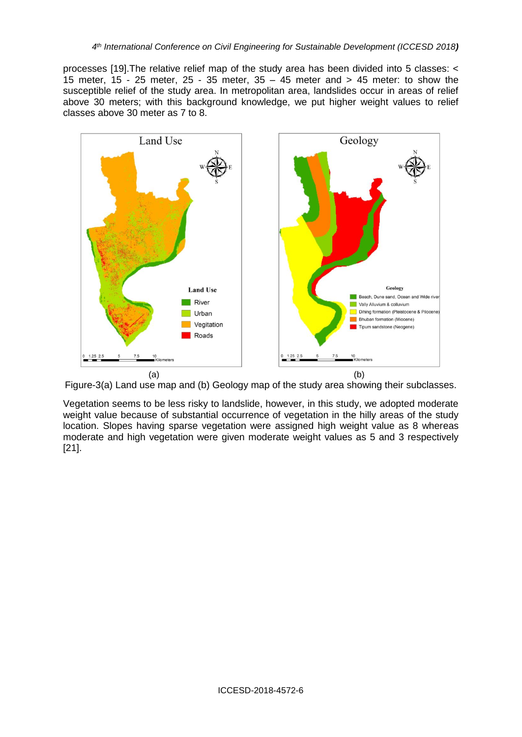processes [19].The relative relief map of the study area has been divided into 5 classes: < 15 meter, 15 - 25 meter, 25 - 35 meter, 35 – 45 meter and > 45 meter: to show the susceptible relief of the study area. In metropolitan area, landslides occur in areas of relief above 30 meters; with this background knowledge, we put higher weight values to relief classes above 30 meter as 7 to 8.



Figure-3(a) Land use map and (b) Geology map of the study area showing their subclasses.

Vegetation seems to be less risky to landslide, however, in this study, we adopted moderate weight value because of substantial occurrence of vegetation in the hilly areas of the study location. Slopes having sparse vegetation were assigned high weight value as 8 whereas moderate and high vegetation were given moderate weight values as 5 and 3 respectively [21].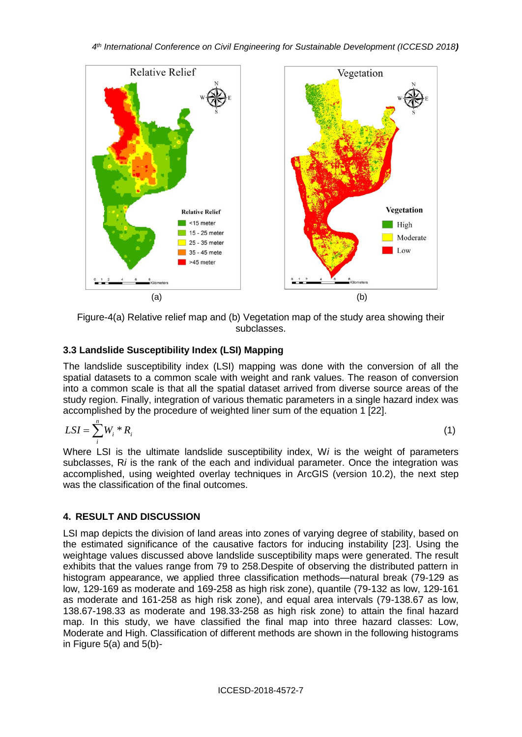

Figure-4(a) Relative relief map and (b) Vegetation map of the study area showing their subclasses.

# **3.3 Landslide Susceptibility Index (LSI) Mapping**

The landslide susceptibility index (LSI) mapping was done with the conversion of all the spatial datasets to a common scale with weight and rank values. The reason of conversion into a common scale is that all the spatial dataset arrived from diverse source areas of the study region. Finally, integration of various thematic parameters in a single hazard index was accomplished by the procedure of weighted liner sum of the equation 1 [22].

$$
LSI = \sum_{i}^{n} W_i * R_i \tag{1}
$$

Where LSI is the ultimate landslide susceptibility index, W*i* is the weight of parameters subclasses, R*i* is the rank of the each and individual parameter. Once the integration was accomplished, using weighted overlay techniques in ArcGIS (version 10.2), the next step was the classification of the final outcomes.

# **4. RESULT AND DISCUSSION**

LSI map depicts the division of land areas into zones of varying degree of stability, based on the estimated significance of the causative factors for inducing instability [23]. Using the weightage values discussed above landslide susceptibility maps were generated. The result exhibits that the values range from 79 to 258.Despite of observing the distributed pattern in histogram appearance, we applied three classification methods—natural break (79-129 as low, 129-169 as moderate and 169-258 as high risk zone), quantile (79-132 as low, 129-161 as moderate and 161-258 as high risk zone), and equal area intervals (79-138.67 as low, 138.67-198.33 as moderate and 198.33-258 as high risk zone) to attain the final hazard map. In this study, we have classified the final map into three hazard classes: Low, Moderate and High. Classification of different methods are shown in the following histograms in Figure 5(a) and 5(b)-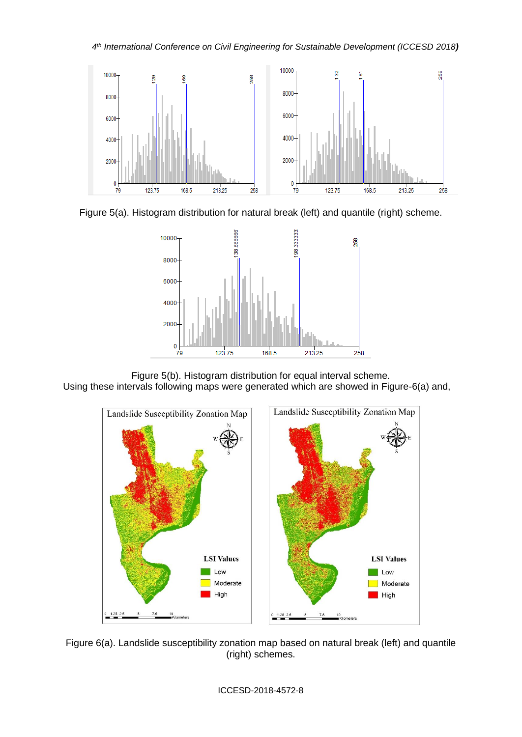





Figure 5(b). Histogram distribution for equal interval scheme. Using these intervals following maps were generated which are showed in Figure-6(a) and,



Figure 6(a). Landslide susceptibility zonation map based on natural break (left) and quantile (right) schemes.

#### ICCESD-2018-4572-8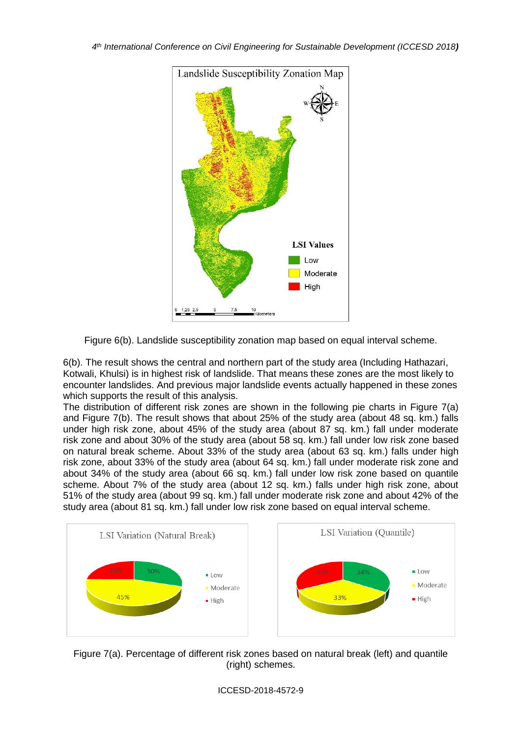

Figure 6(b). Landslide susceptibility zonation map based on equal interval scheme.

6(b). The result shows the central and northern part of the study area (Including Hathazari, Kotwali, Khulsi) is in highest risk of landslide. That means these zones are the most likely to encounter landslides. And previous major landslide events actually happened in these zones which supports the result of this analysis.

The distribution of different risk zones are shown in the following pie charts in Figure 7(a) and Figure 7(b). The result shows that about 25% of the study area (about 48 sq. km.) falls under high risk zone, about 45% of the study area (about 87 sq. km.) fall under moderate risk zone and about 30% of the study area (about 58 sq. km.) fall under low risk zone based on natural break scheme. About 33% of the study area (about 63 sq. km.) falls under high risk zone, about 33% of the study area (about 64 sq. km.) fall under moderate risk zone and about 34% of the study area (about 66 sq. km.) fall under low risk zone based on quantile scheme. About 7% of the study area (about 12 sq. km.) falls under high risk zone, about 51% of the study area (about 99 sq. km.) fall under moderate risk zone and about 42% of the study area (about 81 sq. km.) fall under low risk zone based on equal interval scheme.



Figure 7(a). Percentage of different risk zones based on natural break (left) and quantile (right) schemes.

## ICCESD-2018-4572-9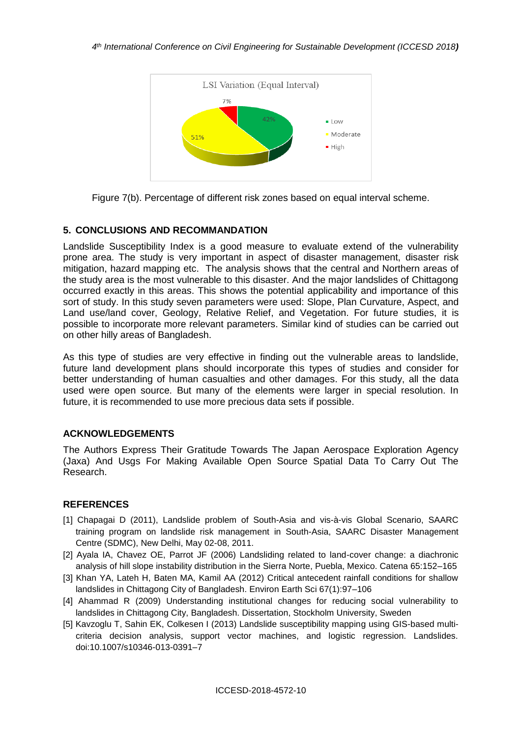

Figure 7(b). Percentage of different risk zones based on equal interval scheme.

## **5. CONCLUSIONS AND RECOMMANDATION**

Landslide Susceptibility Index is a good measure to evaluate extend of the vulnerability prone area. The study is very important in aspect of disaster management, disaster risk mitigation, hazard mapping etc. The analysis shows that the central and Northern areas of the study area is the most vulnerable to this disaster. And the major landslides of Chittagong occurred exactly in this areas. This shows the potential applicability and importance of this sort of study. In this study seven parameters were used: Slope, Plan Curvature, Aspect, and Land use/land cover, Geology, Relative Relief, and Vegetation. For future studies, it is possible to incorporate more relevant parameters. Similar kind of studies can be carried out on other hilly areas of Bangladesh.

As this type of studies are very effective in finding out the vulnerable areas to landslide, future land development plans should incorporate this types of studies and consider for better understanding of human casualties and other damages. For this study, all the data used were open source. But many of the elements were larger in special resolution. In future, it is recommended to use more precious data sets if possible.

## **ACKNOWLEDGEMENTS**

The Authors Express Their Gratitude Towards The Japan Aerospace Exploration Agency (Jaxa) And Usgs For Making Available Open Source Spatial Data To Carry Out The Research.

## **REFERENCES**

- [1] Chapagai D (2011), Landslide problem of South-Asia and vis-à-vis Global Scenario, SAARC training program on landslide risk management in South-Asia, SAARC Disaster Management Centre (SDMC), New Delhi, May 02-08, 2011.
- [2] Ayala IA, Chavez OE, Parrot JF (2006) Landsliding related to land-cover change: a diachronic analysis of hill slope instability distribution in the Sierra Norte, Puebla, Mexico. Catena 65:152–165
- [3] Khan YA, Lateh H, Baten MA, Kamil AA (2012) Critical antecedent rainfall conditions for shallow landslides in Chittagong City of Bangladesh. Environ Earth Sci 67(1):97–106
- [4] Ahammad R (2009) Understanding institutional changes for reducing social vulnerability to landslides in Chittagong City, Bangladesh. Dissertation, Stockholm University, Sweden
- [5] Kavzoglu T, Sahin EK, Colkesen I (2013) Landslide susceptibility mapping using GIS-based multicriteria decision analysis, support vector machines, and logistic regression. Landslides. doi:10.1007/s10346-013-0391–7